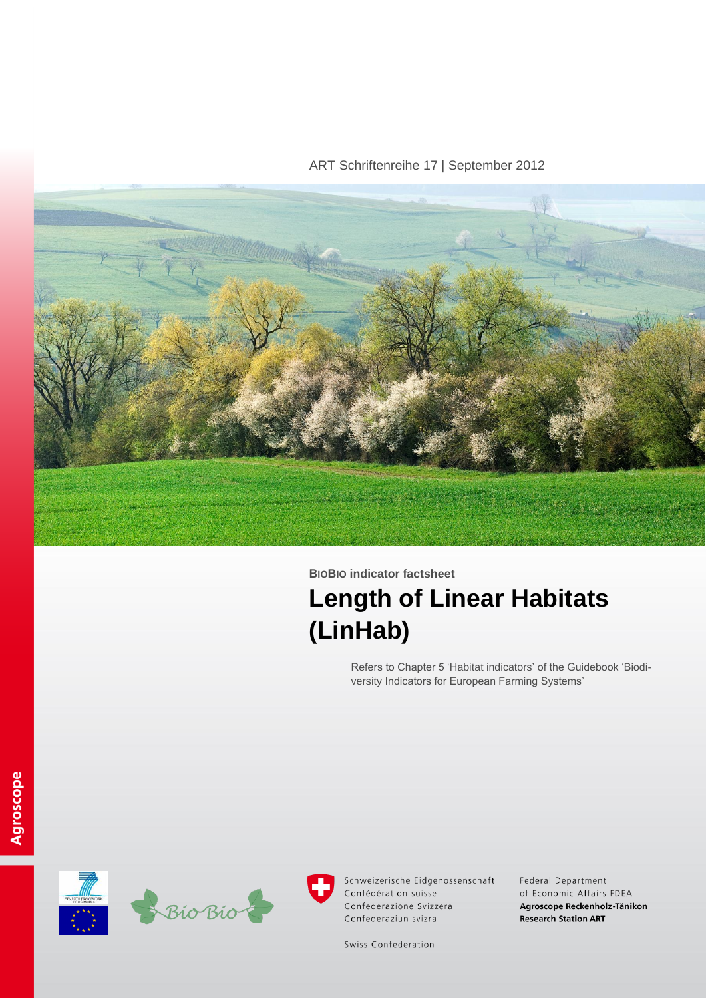ART Schriftenreihe 17 | September 2012



# **BIOBIO indicator factsheet Length of Linear Habitats (LinHab)**

Refers to Chapter 5 'Habitat indicators' of the Guidebook 'Biodiversity Indicators for European Farming Systems'





Schweizerische Eidgenossenschaft Confédération suisse Confederazione Svizzera Confederaziun svizra

Federal Department of Economic Affairs FDEA Agroscope Reckenholz-Tänikon **Research Station ART** 

Swiss Confederation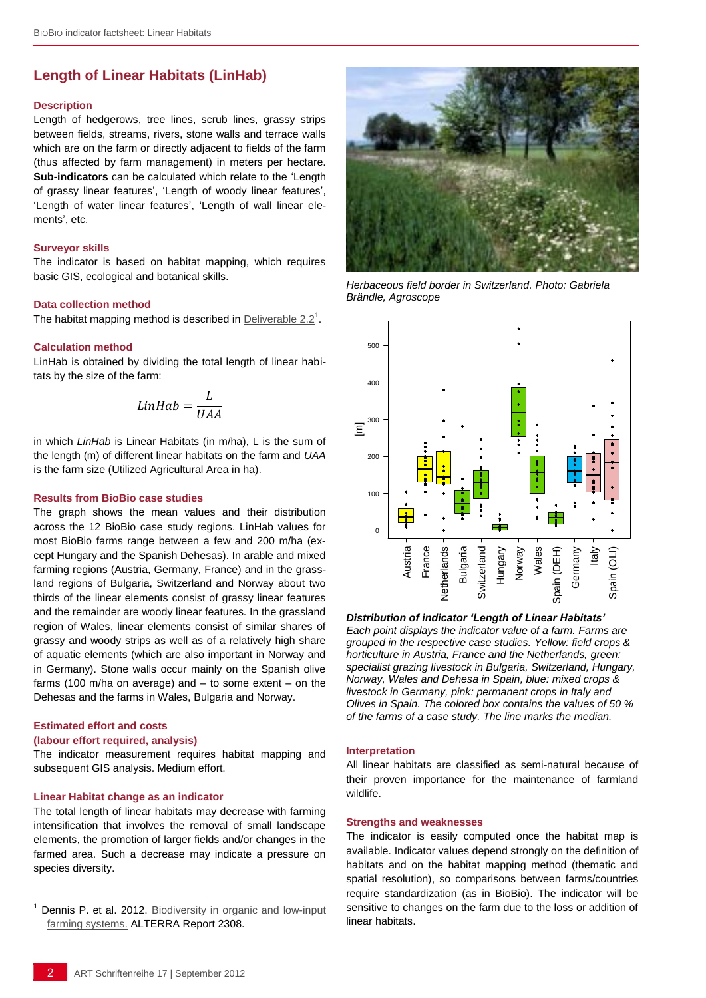# **Length of Linear Habitats (LinHab)**

#### **Description**

Length of hedgerows, tree lines, scrub lines, grassy strips between fields, streams, rivers, stone walls and terrace walls which are on the farm or directly adjacent to fields of the farm (thus affected by farm management) in meters per hectare. **Sub-indicators** can be calculated which relate to the 'Length of grassy linear features', 'Length of woody linear features', 'Length of water linear features', 'Length of wall linear elements', etc.

#### **Surveyor skills**

The indicator is based on habitat mapping, which requires basic GIS, ecological and botanical skills.

#### **Data collection method**

The habitat mapping method is described in [Deliverable 2.2](http://www.biobio-indicator.wur.nl/UK/Publications+and+deliverables/)<sup>1</sup>.

#### **Calculation method**

LinHab is obtained by dividing the total length of linear habitats by the size of the farm:

$$
LinHab = \frac{L}{UAA}
$$

in which *LinHab* is Linear Habitats (in m/ha), L is the sum of the length (m) of different linear habitats on the farm and *UAA* is the farm size (Utilized Agricultural Area in ha).

#### **Results from BioBio case studies**

The graph shows the mean values and their distribution across the 12 BioBio case study regions. LinHab values for most BioBio farms range between a few and 200 m/ha (except Hungary and the Spanish Dehesas). In arable and mixed farming regions (Austria, Germany, France) and in the grassland regions of Bulgaria, Switzerland and Norway about two thirds of the linear elements consist of grassy linear features and the remainder are woody linear features. In the grassland region of Wales, linear elements consist of similar shares of grassy and woody strips as well as of a relatively high share of aquatic elements (which are also important in Norway and in Germany). Stone walls occur mainly on the Spanish olive farms (100 m/ha on average) and – to some extent – on the Dehesas and the farms in Wales, Bulgaria and Norway.

## **Estimated effort and costs**

l

#### **(labour effort required, analysis)**

The indicator measurement requires habitat mapping and subsequent GIS analysis. Medium effort.

#### **Linear Habitat change as an indicator**

The total length of linear habitats may decrease with farming intensification that involves the removal of small landscape elements, the promotion of larger fields and/or changes in the farmed area. Such a decrease may indicate a pressure on species diversity.



*Herbaceous field border in Switzerland. Photo: Gabriela Brändle, Agroscope*



*Distribution of indicator 'Length of Linear Habitats' Each point displays the indicator value of a farm. Farms are grouped in the respective case studies. Yellow: field crops & horticulture in Austria, France and the Netherlands, green: specialist grazing livestock in Bulgaria, Switzerland, Hungary, Norway, Wales and Dehesa in Spain, blue: mixed crops & livestock in Germany, pink: permanent crops in Italy and Olives in Spain. The colored box contains the values of 50 %*  **Example for a case study. The farms of a case study. The line marks the median.**<br> **Distribution of indicator 'Length of Linear Habitats'**<br> **Distribution of indicator 'Length of Linear Habitats'**<br>
Each point displays the

#### **Interpretation**

All linear habitats are classified as semi-natural because of their proven importance for the maintenance of farmland wildlife.

#### **Strengths and weaknesses**

The indicator is easily computed once the habitat map is available. Indicator values depend strongly on the definition of habitats and on the habitat mapping method (thematic and spatial resolution), so comparisons between farms/countries require standardization (as in BioBio). The indicator will be sensitive to changes on the farm due to the loss or addition of linear habitats.

Dennis P. et al. 2012. Biodiversity in organic and low-input [farming systems.](http://www.biobio-indicator.org/deliverables.php) ALTERRA Report 2308.